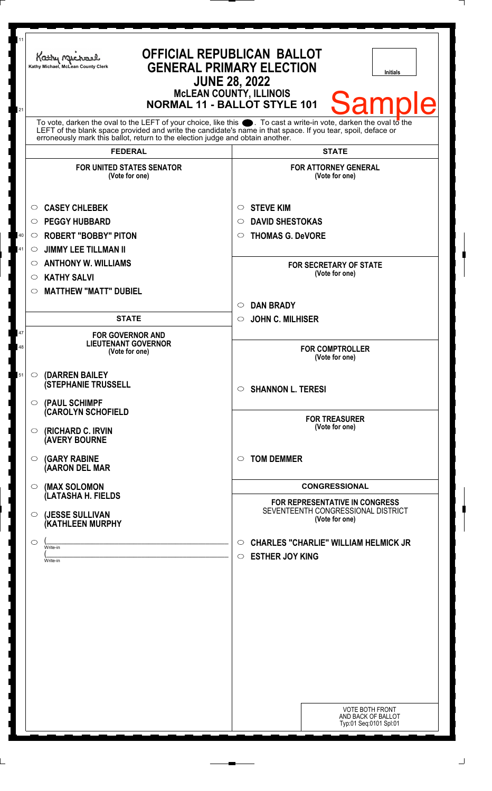| 11<br>21 | <b>OFFICIAL REPUBLICAN BALLOT</b><br>Kathy Michael<br><b>GENERAL PRIMARY ELECTION</b><br>Kathy Michael, McLean County Clerk<br><b>Initials</b><br><b>JUNE 28, 2022</b><br><b>McLEAN COUNTY, ILLINOIS</b><br>Samp<br><b>NORMAL 11 - BALLOT STYLE 101</b>                                                                |                                                                                                        |
|----------|------------------------------------------------------------------------------------------------------------------------------------------------------------------------------------------------------------------------------------------------------------------------------------------------------------------------|--------------------------------------------------------------------------------------------------------|
|          | To vote, darken the oval to the LEFT of your choice, like this $\bullet$ . To cast a write-in vote, darken the oval to the LEFT of the boral to the LEFT of the blank space provided and write the candidate's name in that space. I<br>erroneously mark this ballot, return to the election judge and obtain another. |                                                                                                        |
|          | <b>FEDERAL</b><br><b>FOR UNITED STATES SENATOR</b><br>(Vote for one)                                                                                                                                                                                                                                                   | <b>STATE</b><br><b>FOR ATTORNEY GENERAL</b><br>(Vote for one)                                          |
| 40<br>41 | <b>CASEY CHLEBEK</b><br>$\circ$<br><b>PEGGY HUBBARD</b><br>O<br><b>ROBERT "BOBBY" PITON</b><br>$\circ$<br><b>JIMMY LEE TILLMAN II</b><br>◯                                                                                                                                                                             | <b>STEVE KIM</b><br>$\circ$<br><b>DAVID SHESTOKAS</b><br>$\circ$<br><b>THOMAS G. DeVORE</b><br>$\circ$ |
|          | <b>ANTHONY W. WILLIAMS</b><br>$\circ$<br><b>KATHY SALVI</b><br>$\circ$<br><b>MATTHEW "MATT" DUBIEL</b><br>◯                                                                                                                                                                                                            | <b>FOR SECRETARY OF STATE</b><br>(Vote for one)                                                        |
|          | <b>STATE</b>                                                                                                                                                                                                                                                                                                           | <b>DAN BRADY</b><br>$\circ$<br>$\circ$ JOHN C. MILHISER                                                |
| 47<br>48 | <b>FOR GOVERNOR AND</b><br><b>LIEUTENANT GOVERNOR</b><br>(Vote for one)                                                                                                                                                                                                                                                | <b>FOR COMPTROLLER</b><br>(Vote for one)                                                               |
| 51       | (DARREN BAILEY<br>$\circ$<br><b>(STEPHANIE TRUSSELL</b><br>(PAUL SCHIMPF<br>$\circ$                                                                                                                                                                                                                                    | $\circ$ SHANNON L. TERESI                                                                              |
|          | (CAROLYN SCHOFIELD<br>(RICHARD C. IRVIN<br>$\circ$<br><b>(AVERY BOURNE</b>                                                                                                                                                                                                                                             | <b>FOR TREASURER</b><br>(Vote for one)                                                                 |
|          | <b>(GARY RABINE</b><br>$\circ$<br>(AARON DEL MAR                                                                                                                                                                                                                                                                       | <b>TOM DEMMER</b><br>$\bigcirc$                                                                        |
|          | (MAX SOLOMON<br>$\circ$<br>(LATASHA H. FIELDS<br>(JESSE SULLIVAN<br>O                                                                                                                                                                                                                                                  | <b>CONGRESSIONAL</b><br><b>FOR REPRESENTATIVE IN CONGRESS</b><br>SEVENTEENTH CONGRESSIONAL DISTRICT    |
|          | (KATHLEEN MURPHY<br>◯<br>Write-in                                                                                                                                                                                                                                                                                      | (Vote for one)<br><b>CHARLES "CHARLIE" WILLIAM HELMICK JR</b><br>$\circ$                               |
|          | Write-in                                                                                                                                                                                                                                                                                                               | <b>ESTHER JOY KING</b><br>$\circ$                                                                      |
|          |                                                                                                                                                                                                                                                                                                                        |                                                                                                        |
|          |                                                                                                                                                                                                                                                                                                                        |                                                                                                        |
|          |                                                                                                                                                                                                                                                                                                                        |                                                                                                        |
|          |                                                                                                                                                                                                                                                                                                                        | <b>VOTE BOTH FRONT</b><br>AND BACK OF BALLOT<br>Typ:01 Seq:0101 Spl:01                                 |